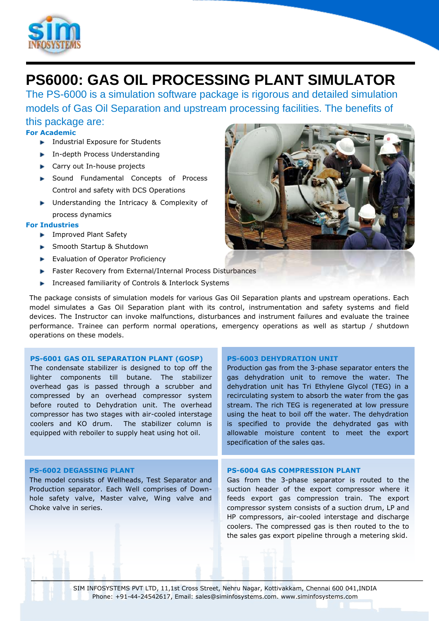

# **PS6000: GAS OIL PROCESSING PLANT SIMULATOR**

The PS-6000 is a simulation software package is rigorous and detailed simulation models of Gas Oil Separation and upstream processing facilities. The benefits of

this package are: **For Academic**

- **Industrial Exposure for Students**
- **In-depth Process Understanding**
- ► Carry out In-house projects
- ▶ Sound Fundamental Concepts of Process Control and safety with DCS Operations
- **De Understanding the Intricacy & Complexity of** process dynamics

## **For Industries**

- **Improved Plant Safety**
- ► Smooth Startup & Shutdown
- Evaluation of Operator Proficiency
- Faster Recovery from External/Internal Process Disturbances
- **Increased familiarity of Controls & Interlock Systems**

The package consists of simulation models for various Gas Oil Separation plants and upstream operations. Each model simulates a Gas Oil Separation plant with its control, instrumentation and safety systems and field devices. The Instructor can invoke malfunctions, disturbances and instrument failures and evaluate the trainee performance. Trainee can perform normal operations, emergency operations as well as startup / shutdown operations on these models.

### **PS-6001 GAS OIL SEPARATION PLANT (GOSP)**

The condensate stabilizer is designed to top off the lighter components till butane. The stabilizer overhead gas is passed through a scrubber and compressed by an overhead compressor system before routed to Dehydration unit. The overhead compressor has two stages with air-cooled interstage coolers and KO drum. The stabilizer column is equipped with reboiler to supply heat using hot oil.

### **PS-6002 DEGASSING PLANT**

The model consists of Wellheads, Test Separator and Production separator. Each Well comprises of Downhole safety valve, Master valve, Wing valve and Choke valve in series.

### **PS-6003 DEHYDRATION UNIT**

Production gas from the 3-phase separator enters the gas dehydration unit to remove the water. The dehydration unit has Tri Ethylene Glycol (TEG) in a recirculating system to absorb the water from the gas stream. The rich TEG is regenerated at low pressure using the heat to boil off the water. The dehydration is specified to provide the dehydrated gas with allowable moisture content to meet the export specification of the sales gas.

#### **PS-6004 GAS COMPRESSION PLANT**

Gas from the 3-phase separator is routed to the suction header of the export compressor where it feeds export gas compression train. The export compressor system consists of a suction drum, LP and HP compressors, air-cooled interstage and discharge coolers. The compressed gas is then routed to the to the sales gas export pipeline through a metering skid.